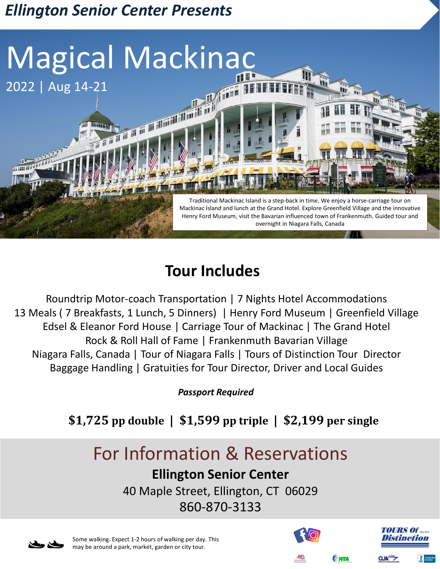# *Ellington Senior Center Presents*



## **Tour Includes**

Roundtrip Motor-coach Transportation | 7 Nights Hotel Accommodations 13 Meals ( 7 Breakfasts, 1 Lunch, 5 Dinners) | Henry Ford Museum | Greenfield Village Edsel & Eleanor Ford House | Carriage Tour of Mackinac | The Grand Hotel Rock & Roll Hall of Fame | Frankenmuth Bavarian Village Niagara Falls, Canada | Tour of Niagara Falls | Tours of Distinction Tour Director Baggage Handling | Gratuities for Tour Director, Driver and Local Guides

*Passport Required* 

## **\$1,725 pp double | \$1,599 pp triple | \$2,199 per single**

# For Information & Reservations

## **Ellington Senior Center**

40 Maple Street, Ellington, CT 06029 860-870-3133



Some walking. Expect 1-2 hours of walking per day. This may be around a park, market, garden or city tour.